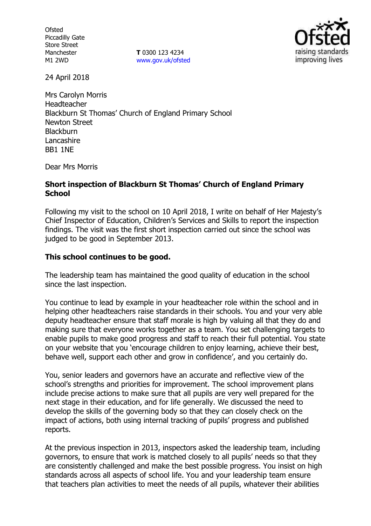**Ofsted** Piccadilly Gate Store Street Manchester M1 2WD

**T** 0300 123 4234 [www.gov.uk/ofsted](http://www.gov.uk/ofsted)



24 April 2018

Mrs Carolyn Morris Headteacher Blackburn St Thomas' Church of England Primary School Newton Street **Blackburn** Lancashire BB1 1NE

Dear Mrs Morris

### **Short inspection of Blackburn St Thomas' Church of England Primary School**

Following my visit to the school on 10 April 2018, I write on behalf of Her Majesty's Chief Inspector of Education, Children's Services and Skills to report the inspection findings. The visit was the first short inspection carried out since the school was judged to be good in September 2013.

#### **This school continues to be good.**

The leadership team has maintained the good quality of education in the school since the last inspection.

You continue to lead by example in your headteacher role within the school and in helping other headteachers raise standards in their schools. You and your very able deputy headteacher ensure that staff morale is high by valuing all that they do and making sure that everyone works together as a team. You set challenging targets to enable pupils to make good progress and staff to reach their full potential. You state on your website that you 'encourage children to enjoy learning, achieve their best, behave well, support each other and grow in confidence', and you certainly do.

You, senior leaders and governors have an accurate and reflective view of the school's strengths and priorities for improvement. The school improvement plans include precise actions to make sure that all pupils are very well prepared for the next stage in their education, and for life generally. We discussed the need to develop the skills of the governing body so that they can closely check on the impact of actions, both using internal tracking of pupils' progress and published reports.

At the previous inspection in 2013, inspectors asked the leadership team, including governors, to ensure that work is matched closely to all pupils' needs so that they are consistently challenged and make the best possible progress. You insist on high standards across all aspects of school life. You and your leadership team ensure that teachers plan activities to meet the needs of all pupils, whatever their abilities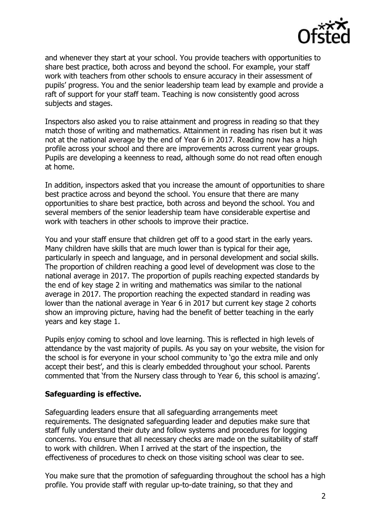

and whenever they start at your school. You provide teachers with opportunities to share best practice, both across and beyond the school. For example, your staff work with teachers from other schools to ensure accuracy in their assessment of pupils' progress. You and the senior leadership team lead by example and provide a raft of support for your staff team. Teaching is now consistently good across subjects and stages.

Inspectors also asked you to raise attainment and progress in reading so that they match those of writing and mathematics. Attainment in reading has risen but it was not at the national average by the end of Year 6 in 2017. Reading now has a high profile across your school and there are improvements across current year groups. Pupils are developing a keenness to read, although some do not read often enough at home.

In addition, inspectors asked that you increase the amount of opportunities to share best practice across and beyond the school. You ensure that there are many opportunities to share best practice, both across and beyond the school. You and several members of the senior leadership team have considerable expertise and work with teachers in other schools to improve their practice.

You and your staff ensure that children get off to a good start in the early years. Many children have skills that are much lower than is typical for their age, particularly in speech and language, and in personal development and social skills. The proportion of children reaching a good level of development was close to the national average in 2017. The proportion of pupils reaching expected standards by the end of key stage 2 in writing and mathematics was similar to the national average in 2017. The proportion reaching the expected standard in reading was lower than the national average in Year 6 in 2017 but current key stage 2 cohorts show an improving picture, having had the benefit of better teaching in the early years and key stage 1.

Pupils enjoy coming to school and love learning. This is reflected in high levels of attendance by the vast majority of pupils. As you say on your website, the vision for the school is for everyone in your school community to 'go the extra mile and only accept their best', and this is clearly embedded throughout your school. Parents commented that 'from the Nursery class through to Year 6, this school is amazing'.

### **Safeguarding is effective.**

Safeguarding leaders ensure that all safeguarding arrangements meet requirements. The designated safeguarding leader and deputies make sure that staff fully understand their duty and follow systems and procedures for logging concerns. You ensure that all necessary checks are made on the suitability of staff to work with children. When I arrived at the start of the inspection, the effectiveness of procedures to check on those visiting school was clear to see.

You make sure that the promotion of safeguarding throughout the school has a high profile. You provide staff with regular up-to-date training, so that they and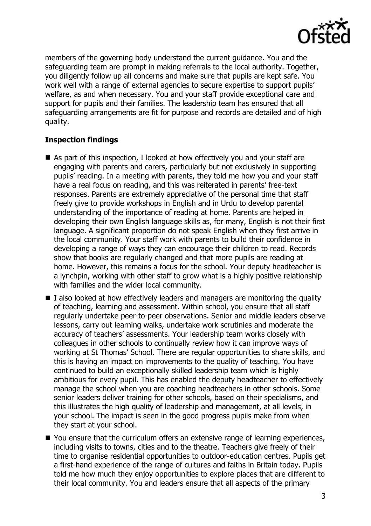

members of the governing body understand the current guidance. You and the safeguarding team are prompt in making referrals to the local authority. Together, you diligently follow up all concerns and make sure that pupils are kept safe. You work well with a range of external agencies to secure expertise to support pupils' welfare, as and when necessary. You and your staff provide exceptional care and support for pupils and their families. The leadership team has ensured that all safeguarding arrangements are fit for purpose and records are detailed and of high quality.

# **Inspection findings**

- As part of this inspection, I looked at how effectively you and your staff are engaging with parents and carers, particularly but not exclusively in supporting pupils' reading. In a meeting with parents, they told me how you and your staff have a real focus on reading, and this was reiterated in parents' free-text responses. Parents are extremely appreciative of the personal time that staff freely give to provide workshops in English and in Urdu to develop parental understanding of the importance of reading at home. Parents are helped in developing their own English language skills as, for many, English is not their first language. A significant proportion do not speak English when they first arrive in the local community. Your staff work with parents to build their confidence in developing a range of ways they can encourage their children to read. Records show that books are regularly changed and that more pupils are reading at home. However, this remains a focus for the school. Your deputy headteacher is a lynchpin, working with other staff to grow what is a highly positive relationship with families and the wider local community.
- $\blacksquare$  I also looked at how effectively leaders and managers are monitoring the quality of teaching, learning and assessment. Within school, you ensure that all staff regularly undertake peer-to-peer observations. Senior and middle leaders observe lessons, carry out learning walks, undertake work scrutinies and moderate the accuracy of teachers' assessments. Your leadership team works closely with colleagues in other schools to continually review how it can improve ways of working at St Thomas' School. There are regular opportunities to share skills, and this is having an impact on improvements to the quality of teaching. You have continued to build an exceptionally skilled leadership team which is highly ambitious for every pupil. This has enabled the deputy headteacher to effectively manage the school when you are coaching headteachers in other schools. Some senior leaders deliver training for other schools, based on their specialisms, and this illustrates the high quality of leadership and management, at all levels, in your school. The impact is seen in the good progress pupils make from when they start at your school.
- You ensure that the curriculum offers an extensive range of learning experiences, including visits to towns, cities and to the theatre. Teachers give freely of their time to organise residential opportunities to outdoor-education centres. Pupils get a first-hand experience of the range of cultures and faiths in Britain today. Pupils told me how much they enjoy opportunities to explore places that are different to their local community. You and leaders ensure that all aspects of the primary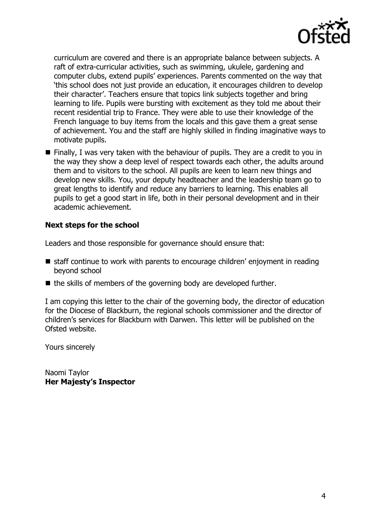

curriculum are covered and there is an appropriate balance between subjects. A raft of extra-curricular activities, such as swimming, ukulele, gardening and computer clubs, extend pupils' experiences. Parents commented on the way that 'this school does not just provide an education, it encourages children to develop their character'. Teachers ensure that topics link subjects together and bring learning to life. Pupils were bursting with excitement as they told me about their recent residential trip to France. They were able to use their knowledge of the French language to buy items from the locals and this gave them a great sense of achievement. You and the staff are highly skilled in finding imaginative ways to motivate pupils.

 $\blacksquare$  Finally, I was very taken with the behaviour of pupils. They are a credit to you in the way they show a deep level of respect towards each other, the adults around them and to visitors to the school. All pupils are keen to learn new things and develop new skills. You, your deputy headteacher and the leadership team go to great lengths to identify and reduce any barriers to learning. This enables all pupils to get a good start in life, both in their personal development and in their academic achievement.

## **Next steps for the school**

Leaders and those responsible for governance should ensure that:

- $\blacksquare$  staff continue to work with parents to encourage children' enjoyment in reading beyond school
- $\blacksquare$  the skills of members of the governing body are developed further.

I am copying this letter to the chair of the governing body, the director of education for the Diocese of Blackburn, the regional schools commissioner and the director of children's services for Blackburn with Darwen. This letter will be published on the Ofsted website.

Yours sincerely

Naomi Taylor **Her Majesty's Inspector**